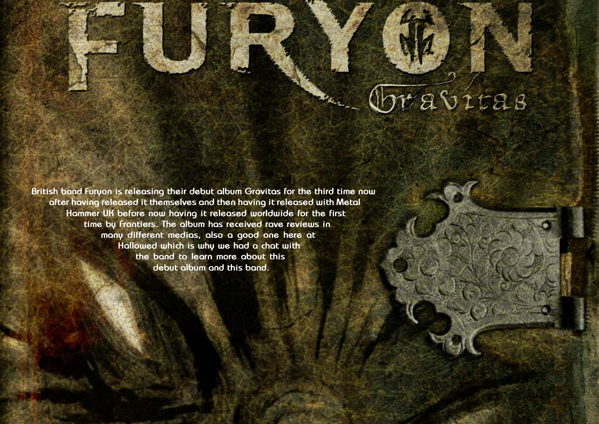Hallowed PDF-article Design by Daniel Källmalm



**British band Furyon is releasing their debut album Gravitas for the third time now after having released it themselves and then having it released with Metal Hammer UK before now having it released worldwide for the first time by Frontiers. The album has received rave reviews in many different medias, also a good one here at Hallowed which is why we had a chat with the band to learn more about this debut album and this band.**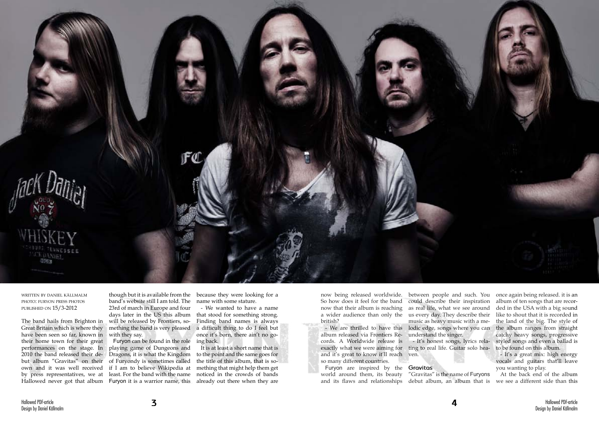

written by daniel källmalm photo: furyon press photos published on 15/3-2012

The band hails from Brighton in Great Britain which is where they have been seen so far, known in their home town for their great performances on the stage. In 2010 the band released their debut album "Gravitas" on their own and it was well received by press representatives, we at Hallowed never got that album Furyon it is a warrior name, this

band's website still I am told. The 23rd of march in Europe and four days later in the US this album will be released by Frontiers, something the band is very pleased with they say.

though but it is available from the because they were looking for a name with some stature.

Furyon can be found in the role playing game of Dungeons and Dragons, it is what the Kingdom of Furyondy is sometimes called if I am to believe Wikipedia at least. For the band with the name

- We wanted to have a name that stood for something strong. Finding band names is always a difficult thing to do I feel but once it's born, there ain't no going back.

It is at least a short name that is to the point and the same goes for the title of this album, that is something that might help them get noticed in the crowds of bands already out there when they are

now being released worldwide. So how does it feel for the band now that their album is reaching british?

album released via Frontiers Re-understand the singer. cords. A Worldwide release is and it's great to know it'll reach ven. so many different countries.

a wider audience than only the us every day. They describe their - We are thrilled to have this lodic edge, songs where you can exactly what we were aiming for ting to real life. Guitar solo hea- to be found on this album. between people and such. You once again being released. it is an could describe their inspiration as real life, what we see around music as heavy music with a me-- It's honest songs, lyrics rela-

Furyon are inspired by the **Gravitas** world around them, its beauty "Gravitas" is the name of Furyons

and its flaws and relationships debut album, an album that is we see a different side than this At the back end of the album

album of ten songs that are recorded in the USA with a big sound like to shout that it is recorded in the land of the big. The style of the album ranges from straight catchy heavy songs, progressive styled songs and even a ballad is

- It's a great mix: high energy vocals and guitars that'll leave you wanting to play.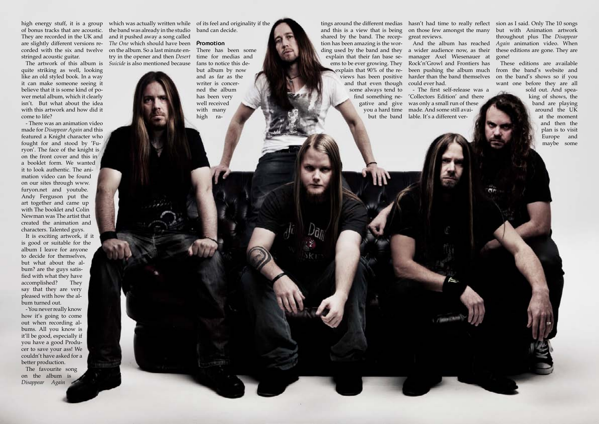of bonus tracks that are acoustic. They are recorded in the UK and corded with the six and twelve on the album. So a last minute enstringed acoustic guitar.

quite striking as well, looking like an old styled book. In a way it can make someone seeing it believe that it is some kind of power metal album, which it clearly isn't. But what about the idea with this artwork and how did it come to life?

- There was an animation video made for *Disappear Again* and this featured a Knight character who fought for and stood by 'Furyon'. The face of the knight is on the front cover and this in a booklet form. We wanted it to look authentic. The animation video can be found on our sites through www. furyon.net and youtube. Andy Ferguson put the art together and came up with The booklet and Colin Newman was The artist that created the animation and characters. Talented guys.

high energy stuff, it is a group which was actually written while of its feel and originality if the are slightly different versions re-*The One* which should have been **Promotion** The artwork of this album is *Suicide* is also mentioned because the band was already in the studio and it pushed away a song called try in the opener and then *Desert* 

It is exciting artwork, if it is good or suitable for the album I leave for anyone to decide for themselves, but what about the album? are the guys satisfied with what they have accomplished? They say that they are very pleased with how the album turned out.

- You never really know how it's going to come out when recording albums. All you know is it'll be good, especially if you have a good Producer to save your ass! We couldn't have asked for a better production.

The favourite song on the album is *Disappear Again*

band can decide.

There has been some time for medias and fans to notice this debut album by now and as far as the writer is concerned the album has been very well received with many high ra-

shared by the band. The recep-great reviews. tion has been amazing is the wording used by the band and they a wider audience now, as their explain that 90% of the reand that even though could ever had. some always tend to

explain that their fan base se-manager Axel Wiesenauer at ems to be ever growing. They Rock'n'Growl and Frontiers has And the album has reached

tings around the different medias hasn't had time to really reflect sion as I said. Only The 10 songs and this is a view that is being on those few amongst the many but with Animation artwork throughout plus The *Disappear Again* animation video. When these editions are gone. They are gone!

> find something ne-'Collectors Edition' and there gative and give was only a small run of these you a hard time made. And some still avaibut the band lable. It's a different ver-- The first self-release was a

views has been positive harder than the band themselves on the band's shows so if you been pushing the album much from the band's website and These editions are available want one before they are all

> sold out. And speaking of shows, the band are playing around the UK at the moment and then the plan is to visit Europe and maybe some